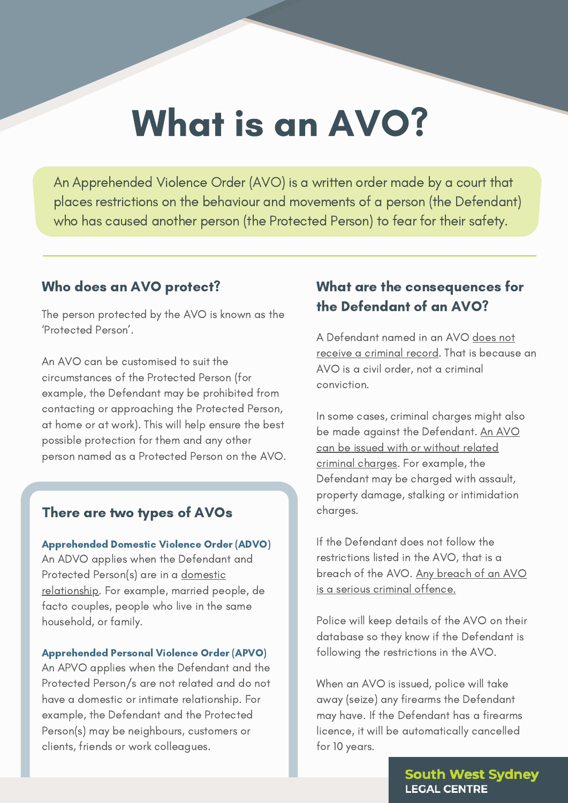# What is an AVO?

An Apprehended Violence Order (AVO) is a written order made by a court that places restrictions on the behaviour and movements of a person (the Defendant) who has caused another person (the Protected Person) to fear for their safety.

#### Who does an AVO protect?

The person protected by the AVO is known as the 'Protected Person'.

An AVO can be customised to suit the circumstances of the Protected Person (for example, the Defendant may be prohibited from contacting or approaching the Protected Person, at home or at work). This will help ensure the best possible protection for them and any other person named as a Protected Person on the AVO.

### There are two types of AVOs

Apprehended Domestic Violence Order (ADVO) An ADVO applies when the Defendant and Protected Person(s) are in a domestic relationship. For example, married people, de facto couples, people who live in the same household, or family.

#### Apprehended Personal Violence Order (APVO)

An APVO applies when the Defendant and the Protected Person/s are not related and do not have a domestic or intimate relationship. For example, the Defendant and the Protected Person(s) may be neighbours, customers or clients, friends or work colleagues.

## What are the consequences for the Defendant of an AVO?

A Defendant named in an AVO does not receive a criminal record. That is because an AVO is a civil order, not a criminal conviction.

In some cases, criminal charges might also be made against the Defendant. An AVO can be issued with or without related criminal charges. For example, the Defendant may be charged with assault, property damage, stalking or intimidation charges.

If the Defendant does not follow the restrictions listed in the AVO, that is a breach of the AVO. Any breach of an AVO is a serious criminal offence.

Police will keep details of the AVO on their database so they know if the Defendant is following the restrictions in the AVO.

When an AVO is issued, police will take away (seize) any firearms the Defendant may have. If the Defendant has a firearms licence, it will be automatically cancelled for 10 years.

> **South West Sydney LEGAL CENTRE**